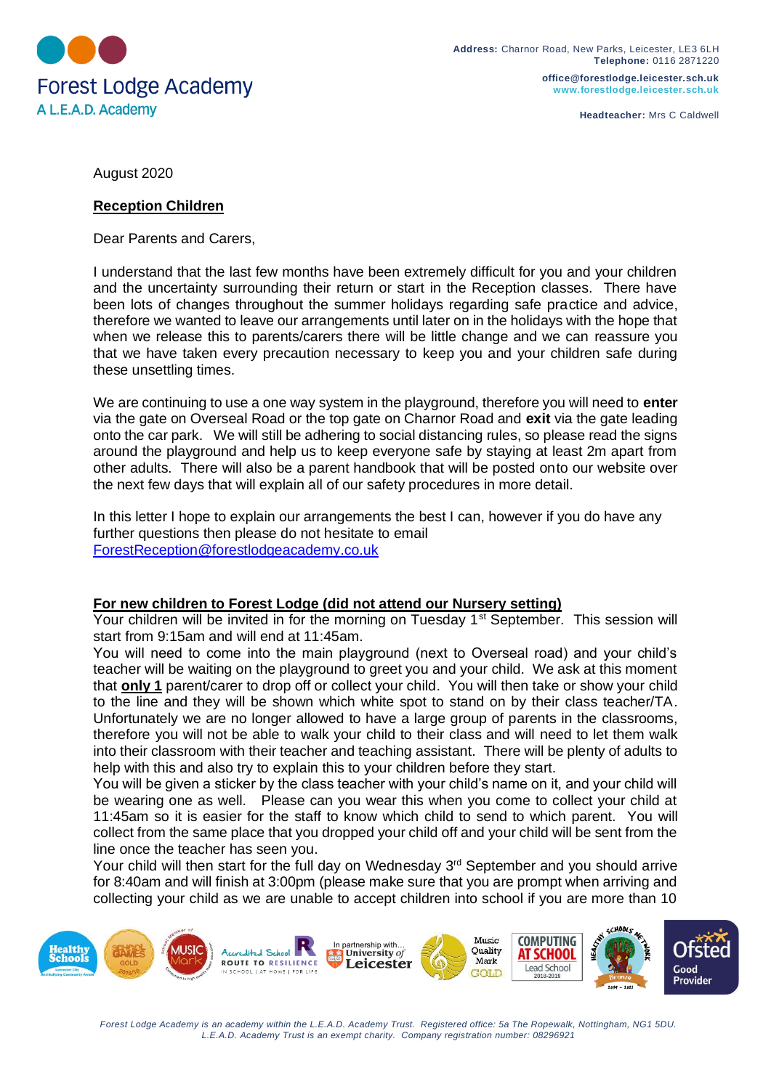

**office@forestlodge.leicester.sch.uk www.forestlodge.leicester.sch.uk**

**Headteacher:** Mrs C Caldwell

August 2020

## **Reception Children**

Dear Parents and Carers,

I understand that the last few months have been extremely difficult for you and your children and the uncertainty surrounding their return or start in the Reception classes. There have been lots of changes throughout the summer holidays regarding safe practice and advice, therefore we wanted to leave our arrangements until later on in the holidays with the hope that when we release this to parents/carers there will be little change and we can reassure you that we have taken every precaution necessary to keep you and your children safe during these unsettling times.

We are continuing to use a one way system in the playground, therefore you will need to **enter** via the gate on Overseal Road or the top gate on Charnor Road and **exit** via the gate leading onto the car park. We will still be adhering to social distancing rules, so please read the signs around the playground and help us to keep everyone safe by staying at least 2m apart from other adults. There will also be a parent handbook that will be posted onto our website over the next few days that will explain all of our safety procedures in more detail.

In this letter I hope to explain our arrangements the best I can, however if you do have any further questions then please do not hesitate to email [ForestReception@forestlodgeacademy.co.uk](mailto:ForestReception@forestlodgeacademy.co.uk)

## **For new children to Forest Lodge (did not attend our Nursery setting)**

Your children will be invited in for the morning on Tuesday 1<sup>st</sup> September. This session will start from 9:15am and will end at 11:45am.

You will need to come into the main playground (next to Overseal road) and your child's teacher will be waiting on the playground to greet you and your child. We ask at this moment that **only 1** parent/carer to drop off or collect your child. You will then take or show your child to the line and they will be shown which white spot to stand on by their class teacher/TA. Unfortunately we are no longer allowed to have a large group of parents in the classrooms, therefore you will not be able to walk your child to their class and will need to let them walk into their classroom with their teacher and teaching assistant. There will be plenty of adults to help with this and also try to explain this to your children before they start.

You will be given a sticker by the class teacher with your child's name on it, and your child will be wearing one as well. Please can you wear this when you come to collect your child at 11:45am so it is easier for the staff to know which child to send to which parent. You will collect from the same place that you dropped your child off and your child will be sent from the line once the teacher has seen you.

Your child will then start for the full day on Wednesday 3<sup>rd</sup> September and you should arrive for 8:40am and will finish at 3:00pm (please make sure that you are prompt when arriving and collecting your child as we are unable to accept children into school if you are more than 10



*Forest Lodge Academy is an academy within the L.E.A.D. Academy Trust. Registered office: 5a The Ropewalk, Nottingham, NG1 5DU. L.E.A.D. Academy Trust is an exempt charity. Company registration number: 08296921*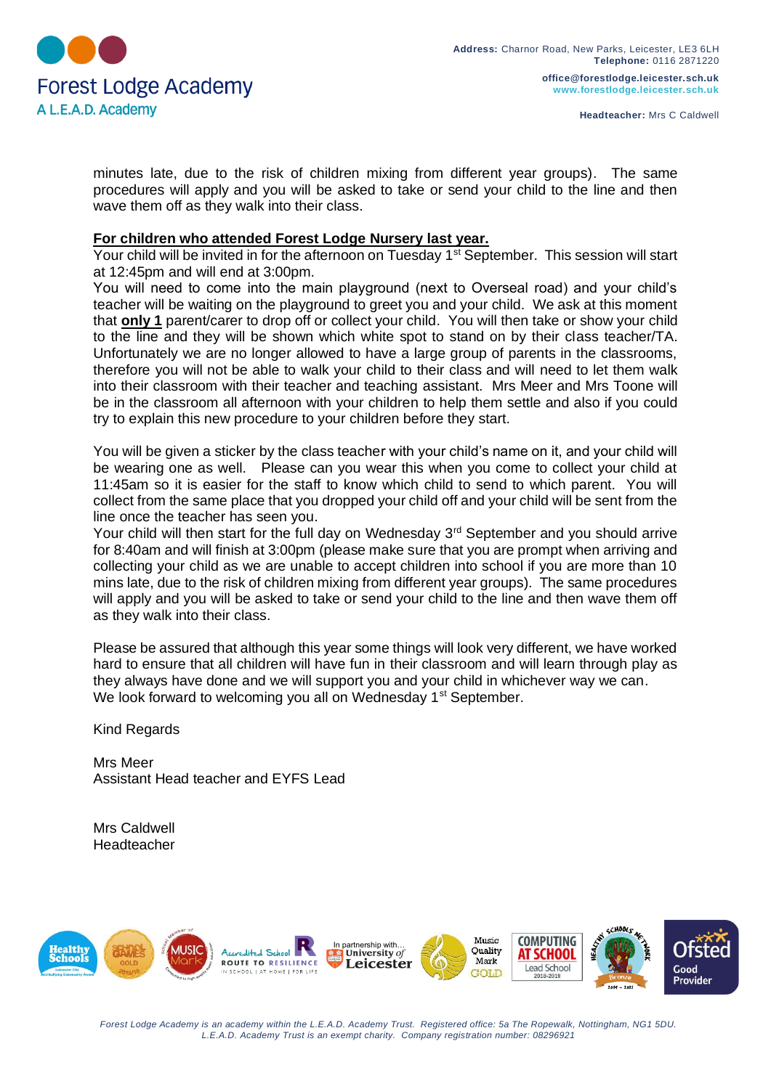

**office@forestlodge.leicester.sch.uk www.forestlodge.leicester.sch.uk**

minutes late, due to the risk of children mixing from different year groups). The same procedures will apply and you will be asked to take or send your child to the line and then wave them off as they walk into their class.

## **For children who attended Forest Lodge Nursery last year.**

Your child will be invited in for the afternoon on Tuesday 1<sup>st</sup> September. This session will start at 12:45pm and will end at 3:00pm.

You will need to come into the main playground (next to Overseal road) and your child's teacher will be waiting on the playground to greet you and your child. We ask at this moment that **only 1** parent/carer to drop off or collect your child. You will then take or show your child to the line and they will be shown which white spot to stand on by their class teacher/TA. Unfortunately we are no longer allowed to have a large group of parents in the classrooms, therefore you will not be able to walk your child to their class and will need to let them walk into their classroom with their teacher and teaching assistant. Mrs Meer and Mrs Toone will be in the classroom all afternoon with your children to help them settle and also if you could try to explain this new procedure to your children before they start.

You will be given a sticker by the class teacher with your child's name on it, and your child will be wearing one as well. Please can you wear this when you come to collect your child at 11:45am so it is easier for the staff to know which child to send to which parent. You will collect from the same place that you dropped your child off and your child will be sent from the line once the teacher has seen you.

Your child will then start for the full day on Wednesday 3<sup>rd</sup> September and you should arrive for 8:40am and will finish at 3:00pm (please make sure that you are prompt when arriving and collecting your child as we are unable to accept children into school if you are more than 10 mins late, due to the risk of children mixing from different year groups). The same procedures will apply and you will be asked to take or send your child to the line and then wave them off as they walk into their class.

Please be assured that although this year some things will look very different, we have worked hard to ensure that all children will have fun in their classroom and will learn through play as they always have done and we will support you and your child in whichever way we can. We look forward to welcoming you all on Wednesday 1<sup>st</sup> September.

Kind Regards

Mrs Meer Assistant Head teacher and EYFS Lead

Mrs Caldwell Headteacher



*Forest Lodge Academy is an academy within the L.E.A.D. Academy Trust. Registered office: 5a The Ropewalk, Nottingham, NG1 5DU. L.E.A.D. Academy Trust is an exempt charity. Company registration number: 08296921*